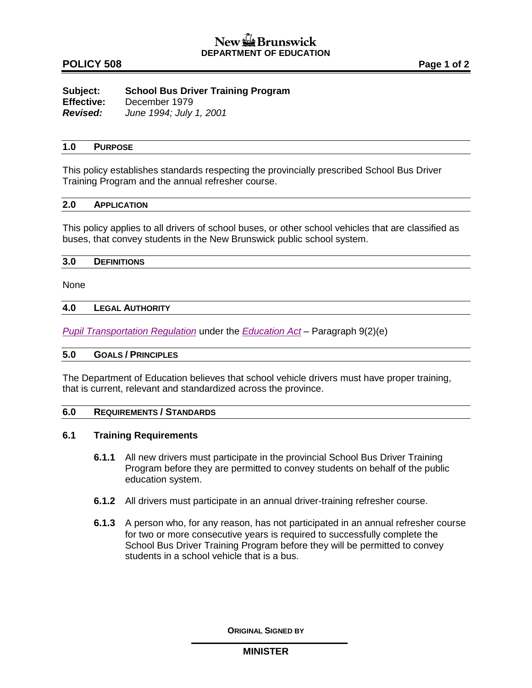# **POLICY 508 Page 1 of 2**

| Subject:          | <b>School Bus Driver Training Program</b> |
|-------------------|-------------------------------------------|
| <b>Effective:</b> | December 1979                             |
| Revised:          | June 1994; July 1, 2001                   |

## **1.0 PURPOSE**

This policy establishes standards respecting the provincially prescribed School Bus Driver Training Program and the annual refresher course.

## **2.0 APPLICATION**

This policy applies to all drivers of school buses, or other school vehicles that are classified as buses, that convey students in the New Brunswick public school system.

#### **3.0 DEFINITIONS**

None

### **4.0 LEGAL AUTHORITY**

*[Pupil Transportation Regulation](http://laws.gnb.ca/en/ShowPdf/cr/2001-51.pdf)* under the *[Education Act](http://laws.gnb.ca/en/ShowPdf/cs/E-1.12.pdf) –* Paragraph 9(2)(e)

## **5.0 GOALS / PRINCIPLES**

The Department of Education believes that school vehicle drivers must have proper training, that is current, relevant and standardized across the province.

# **6.0 REQUIREMENTS / STANDARDS**

# **6.1 Training Requirements**

- **6.1.1** All new drivers must participate in the provincial School Bus Driver Training Program before they are permitted to convey students on behalf of the public education system.
- **6.1.2** All drivers must participate in an annual driver-training refresher course.
- **6.1.3** A person who, for any reason, has not participated in an annual refresher course for two or more consecutive years is required to successfully complete the School Bus Driver Training Program before they will be permitted to convey students in a school vehicle that is a bus.

**ORIGINAL SIGNED BY**